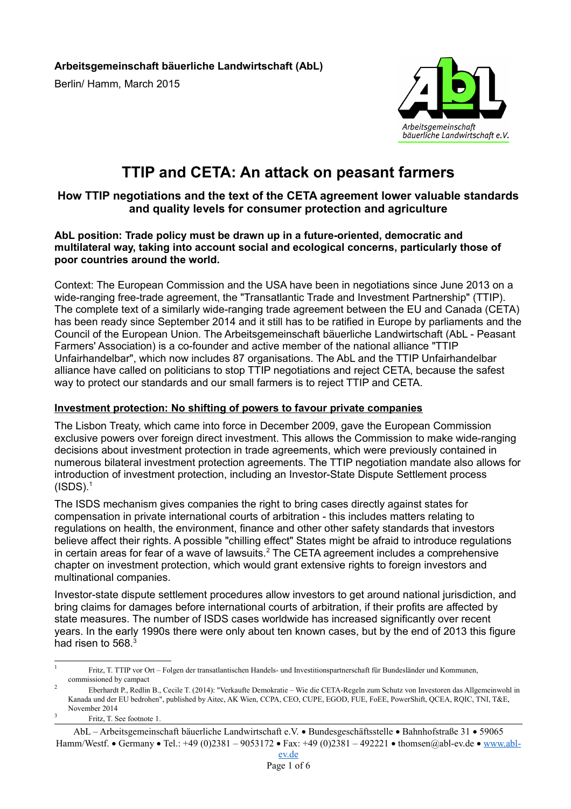**Arbeitsgemeinschaft bäuerliche Landwirtschaft (AbL)** Berlin/ Hamm, March 2015



# **TTIP and CETA: An attack on peasant farmers**

# **How TTIP negotiations and the text of the CETA agreement lower valuable standards and quality levels for consumer protection and agriculture**

#### **AbL position: Trade policy must be drawn up in a future-oriented, democratic and multilateral way, taking into account social and ecological concerns, particularly those of poor countries around the world.**

Context: The European Commission and the USA have been in negotiations since June 2013 on a wide-ranging free-trade agreement, the "Transatlantic Trade and Investment Partnership" (TTIP). The complete text of a similarly wide-ranging trade agreement between the EU and Canada (CETA) has been ready since September 2014 and it still has to be ratified in Europe by parliaments and the Council of the European Union. The Arbeitsgemeinschaft bäuerliche Landwirtschaft (AbL - Peasant Farmers' Association) is a co-founder and active member of the national alliance "TTIP Unfairhandelbar", which now includes 87 organisations. The AbL and the TTIP Unfairhandelbar alliance have called on politicians to stop TTIP negotiations and reject CETA, because the safest way to protect our standards and our small farmers is to reject TTIP and CETA.

## **Investment protection: No shifting of powers to favour private companies**

The Lisbon Treaty, which came into force in December 2009, gave the European Commission exclusive powers over foreign direct investment. This allows the Commission to make wide-ranging decisions about investment protection in trade agreements, which were previously contained in numerous bilateral investment protection agreements. The TTIP negotiation mandate also allows for introduction of investment protection, including an Investor-State Dispute Settlement process  $(ISDS).<sup>1</sup>$  $(ISDS).<sup>1</sup>$  $(ISDS).<sup>1</sup>$ 

The ISDS mechanism gives companies the right to bring cases directly against states for compensation in private international courts of arbitration - this includes matters relating to regulations on health, the environment, finance and other other safety standards that investors believe affect their rights. A possible "chilling effect" States might be afraid to introduce regulations in certain areas for fear of a wave of lawsuits. $2$  The CETA agreement includes a comprehensive chapter on investment protection, which would grant extensive rights to foreign investors and multinational companies.

Investor-state dispute settlement procedures allow investors to get around national jurisdiction, and bring claims for damages before international courts of arbitration, if their profits are affected by state measures. The number of ISDS cases worldwide has increased significantly over recent years. In the early 1990s there were only about ten known cases, but by the end of 2013 this figure had risen to 568.<sup>[3](#page-0-2)</sup>

<span id="page-0-0"></span><sup>1</sup> Fritz, T. TTIP vor Ort – Folgen der transatlantischen Handels- und Investitionspartnerschaft für Bundesländer und Kommunen, commissioned by campact  $\overline{2}$ 

<span id="page-0-1"></span>Eberhardt P., Redlin B., Cecile T. (2014): "Verkaufte Demokratie – Wie die CETA-Regeln zum Schutz von Investoren das Allgemeinwohl in Kanada und der EU bedrohen", published by Aitec, AK Wien, CCPA, CEO, CUPE, EGOD, FUE, FoEE, PowerShift, QCEA, RQIC, TNI, T&E, November 2014 3

<span id="page-0-2"></span>Fritz, T. See footnote 1.

AbL – Arbeitsgemeinschaft bäuerliche Landwirtschaft e.V. · Bundesgeschäftsstelle · Bahnhofstraße 31 · 59065 Hamm/Westf. • Germany • Tel.: +49 (0)2381 – 9053172 • Fax: +49 (0)2381 – 492221 • thomsen@abl-ev.de • [www.abl-](http://www.abl-ev.de/)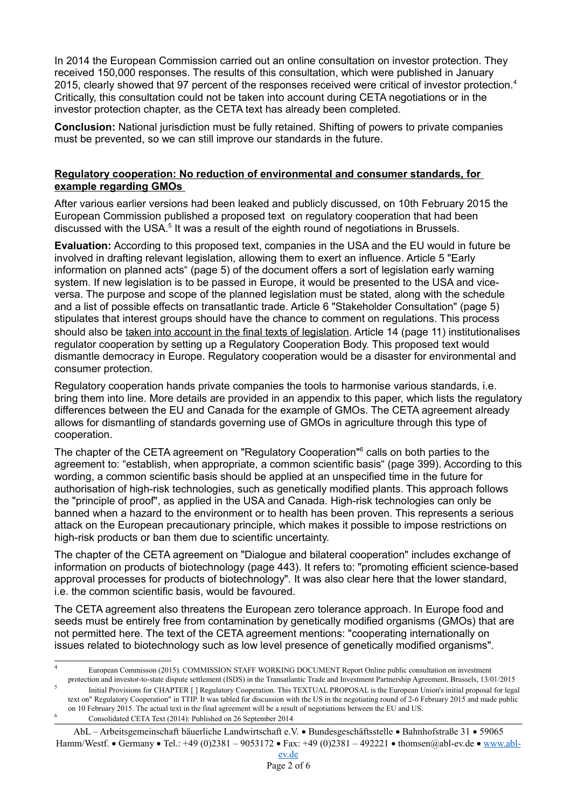In 2014 the European Commission carried out an online consultation on investor protection. They received 150,000 responses. The results of this consultation, which were published in January 2015, clearly showed that 97 percent of the responses received were critical of investor protection.<sup>[4](#page-1-0)</sup> Critically, this consultation could not be taken into account during CETA negotiations or in the investor protection chapter, as the CETA text has already been completed.

**Conclusion:** National jurisdiction must be fully retained. Shifting of powers to private companies must be prevented, so we can still improve our standards in the future.

#### **Regulatory cooperation: No reduction of environmental and consumer standards, for example regarding GMOs**

After various earlier versions had been leaked and publicly discussed, on 10th February 2015 the European Commission published a proposed text on regulatory cooperation that had been discussed with the USA.<sup>[5](#page-1-1)</sup> It was a result of the eighth round of negotiations in Brussels.

**Evaluation:** According to this proposed text, companies in the USA and the EU would in future be involved in drafting relevant legislation, allowing them to exert an influence. Article 5 "Early information on planned acts" (page 5) of the document offers a sort of legislation early warning system. If new legislation is to be passed in Europe, it would be presented to the USA and viceversa. The purpose and scope of the planned legislation must be stated, along with the schedule and a list of possible effects on transatlantic trade. Article 6 "Stakeholder Consultation" (page 5) stipulates that interest groups should have the chance to comment on regulations. This process should also be taken into account in the final texts of legislation. Article 14 (page 11) institutionalises regulator cooperation by setting up a Regulatory Cooperation Body. This proposed text would dismantle democracy in Europe. Regulatory cooperation would be a disaster for environmental and consumer protection.

Regulatory cooperation hands private companies the tools to harmonise various standards, i.e. bring them into line. More details are provided in an appendix to this paper, which lists the regulatory differences between the EU and Canada for the example of GMOs. The CETA agreement already allows for dismantling of standards governing use of GMOs in agriculture through this type of cooperation.

The chapter of the CETA agreement on "Regulatory Cooperation"<sup>[6](#page-1-2)</sup> calls on both parties to the agreement to: "establish, when appropriate, a common scientific basis" (page 399). According to this wording, a common scientific basis should be applied at an unspecified time in the future for authorisation of high-risk technologies, such as genetically modified plants. This approach follows the "principle of proof", as applied in the USA and Canada. High-risk technologies can only be banned when a hazard to the environment or to health has been proven. This represents a serious attack on the European precautionary principle, which makes it possible to impose restrictions on high-risk products or ban them due to scientific uncertainty.

The chapter of the CETA agreement on "Dialogue and bilateral cooperation" includes exchange of information on products of biotechnology (page 443). It refers to: "promoting efficient science-based approval processes for products of biotechnology". It was also clear here that the lower standard, i.e. the common scientific basis, would be favoured.

The CETA agreement also threatens the European zero tolerance approach. In Europe food and seeds must be entirely free from contamination by genetically modified organisms (GMOs) that are not permitted here. The text of the CETA agreement mentions: "cooperating internationally on issues related to biotechnology such as low level presence of genetically modified organisms".

<span id="page-1-0"></span><sup>4</sup> European Commisson (2015). COMMISSION STAFF WORKING DOCUMENT Report Online public consultation on investment protection and investor-to-state dispute settlement (ISDS) in the Transatlantic Trade and Investment Partnership Agreement, Brussels, 13/01/2015

<span id="page-1-1"></span> $\leq$ Initial Provisions for CHAPTER [ ] Regulatory Cooperation. This TEXTUAL PROPOSAL is the European Union's initial proposal for legal text on" Regulatory Cooperation" in TTIP. It was tabled for discussion with the US in the negotiating round of 2-6 February 2015 and made public on 10 February 2015. The actual text in the final agreement will be a result of negotiations between the EU and US. <sup>6</sup> Consolidated CETA Text (2014): Published on 26 September 2014

<span id="page-1-2"></span>AbL – Arbeitsgemeinschaft bäuerliche Landwirtschaft e.V. · Bundesgeschäftsstelle · Bahnhofstraße 31 · 59065

Hamm/Westf. • Germany • Tel.: +49 (0)2381 – 9053172 • Fax: +49 (0)2381 – 492221 • thomsen@abl-ev.de • [www.abl-](http://www.abl-ev.de/)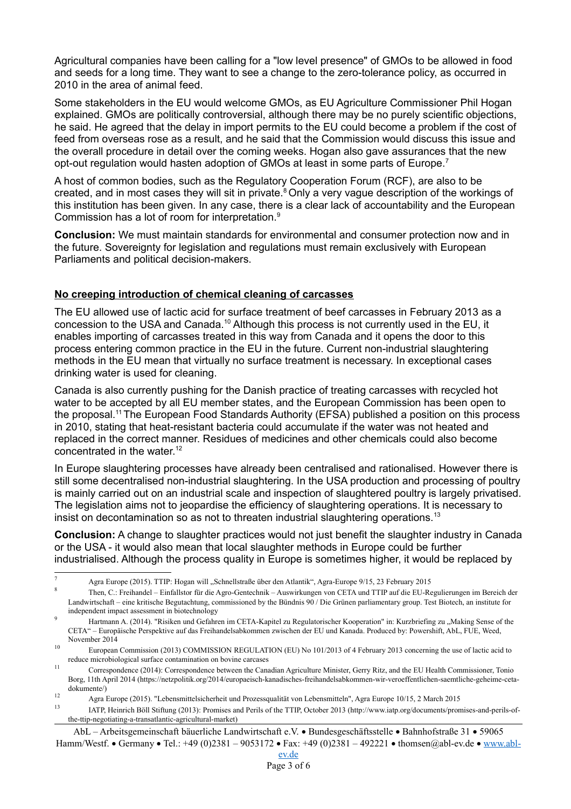Agricultural companies have been calling for a "low level presence" of GMOs to be allowed in food and seeds for a long time. They want to see a change to the zero-tolerance policy, as occurred in 2010 in the area of animal feed.

Some stakeholders in the EU would welcome GMOs, as EU Agriculture Commissioner Phil Hogan explained. GMOs are politically controversial, although there may be no purely scientific objections, he said. He agreed that the delay in import permits to the EU could become a problem if the cost of feed from overseas rose as a result, and he said that the Commission would discuss this issue and the overall procedure in detail over the coming weeks. Hogan also gave assurances that the new opt-out regulation would hasten adoption of GMOs at least in some parts of Europe.[7](#page-2-0)

A host of common bodies, such as the Regulatory Cooperation Forum (RCF), are also to be created, and in most cases they will sit in private.<sup>[8](#page-2-1)</sup> Only a very vague description of the workings of this institution has been given. In any case, there is a clear lack of accountability and the European Commission has a lot of room for interpretation.<sup>[9](#page-2-2)</sup>

**Conclusion:** We must maintain standards for environmental and consumer protection now and in the future. Sovereignty for legislation and regulations must remain exclusively with European Parliaments and political decision-makers.

## **No creeping introduction of chemical cleaning of carcasses**

The EU allowed use of lactic acid for surface treatment of beef carcasses in February 2013 as a concession to the USA and Canada.[10](#page-2-3) Although this process is not currently used in the EU, it enables importing of carcasses treated in this way from Canada and it opens the door to this process entering common practice in the EU in the future. Current non-industrial slaughtering methods in the EU mean that virtually no surface treatment is necessary. In exceptional cases drinking water is used for cleaning.

Canada is also currently pushing for the Danish practice of treating carcasses with recycled hot water to be accepted by all EU member states, and the European Commission has been open to the proposal.<sup>[11](#page-2-4)</sup> The European Food Standards Authority (EFSA) published a position on this process in 2010, stating that heat-resistant bacteria could accumulate if the water was not heated and replaced in the correct manner. Residues of medicines and other chemicals could also become concentrated in the water.<sup>[12](#page-2-5)</sup>

In Europe slaughtering processes have already been centralised and rationalised. However there is still some decentralised non-industrial slaughtering. In the USA production and processing of poultry is mainly carried out on an industrial scale and inspection of slaughtered poultry is largely privatised. The legislation aims not to jeopardise the efficiency of slaughtering operations. It is necessary to insist on decontamination so as not to threaten industrial slaughtering operations.<sup>[13](#page-2-6)</sup>

**Conclusion:** A change to slaughter practices would not just benefit the slaughter industry in Canada or the USA - it would also mean that local slaughter methods in Europe could be further industrialised. Although the process quality in Europe is sometimes higher, it would be replaced by

<span id="page-2-0"></span><sup>7</sup> Agra Europe (2015). TTIP: Hogan will "Schnellstraße über den Atlantik", Agra-Europe 9/15, 23 February 2015

<span id="page-2-1"></span><sup>8</sup> Then, C.: Freihandel – Einfallstor für die Agro-Gentechnik – Auswirkungen von CETA und TTIP auf die EU-Regulierungen im Bereich der Landwirtschaft – eine kritische Begutachtung, commissioned by the Bündnis 90 / Die Grünen parliamentary group. Test Biotech, an institute for independent impact assessment in biotechnology

<span id="page-2-2"></span>Hartmann A. (2014). "Risiken und Gefahren im CETA-Kapitel zu Regulatorischer Kooperation" in: Kurzbriefing zu "Making Sense of the CETA" ‒ Europäische Perspektive auf das Freihandelsabkommen zwischen der EU und Kanada. Produced by: Powershift, AbL, FUE, Weed, November 2014

<span id="page-2-3"></span><sup>10</sup> European Commission (2013) COMMISSION REGULATION (EU) No 101/2013 of 4 February 2013 concerning the use of lactic acid to reduce microbiological surface contamination on bovine carcases

<span id="page-2-4"></span><sup>11</sup> Correspondence (2014): Correspondence between the Canadian Agriculture Minister, Gerry Ritz, and the EU Health Commissioner, Tonio Borg, 11th April 2014 (https://netzpolitik.org/2014/europaeisch-kanadisches-freihandelsabkommen-wir-veroeffentlichen-saemtliche-geheime-cetadokumente/)

<span id="page-2-5"></span><sup>12</sup> Agra Europe (2015). "Lebensmittelsicherheit und Prozessqualität von Lebensmitteln", Agra Europe 10/15, 2 March 2015

<span id="page-2-6"></span><sup>13</sup> IATP, Heinrich Böll Stiftung (2013): Promises and Perils of the TTIP, October 2013 (http://www.iatp.org/documents/promises-and-perils-ofthe-ttip-negotiating-a-transatlantic-agricultural-market)

AbL – Arbeitsgemeinschaft bäuerliche Landwirtschaft e.V. • Bundesgeschäftsstelle • Bahnhofstraße 31 • 59065 Hamm/Westf. • Germany • Tel.: +49 (0)2381 – 9053172 • Fax: +49 (0)2381 – 492221 • thomsen@abl-ev.de • [www.abl-](http://www.abl-ev.de/)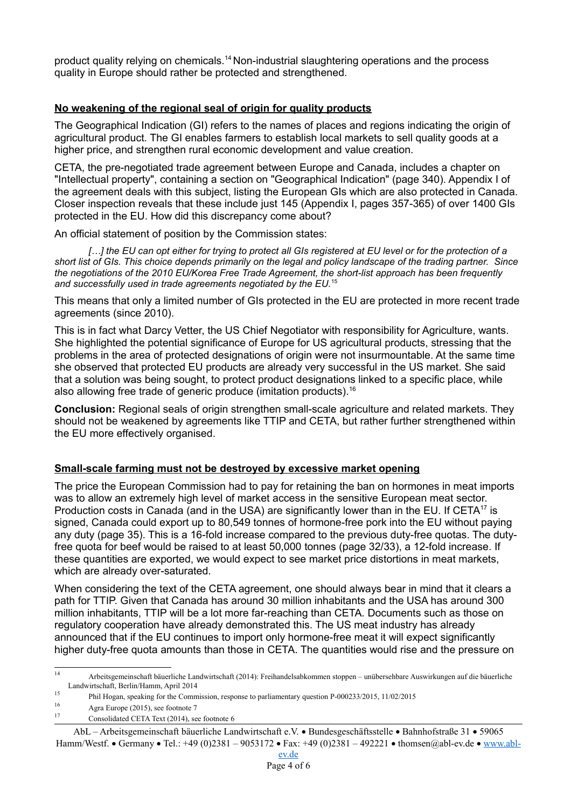product quality relying on chemicals.[14](#page-3-0) Non-industrial slaughtering operations and the process quality in Europe should rather be protected and strengthened.

## **No weakening of the regional seal of origin for quality products**

The Geographical Indication (GI) refers to the names of places and regions indicating the origin of agricultural product. The GI enables farmers to establish local markets to sell quality goods at a higher price, and strengthen rural economic development and value creation.

CETA, the pre-negotiated trade agreement between Europe and Canada, includes a chapter on "Intellectual property", containing a section on "Geographical Indication" (page 340). Appendix I of the agreement deals with this subject, listing the European GIs which are also protected in Canada. Closer inspection reveals that these include just 145 (Appendix I, pages 357-365) of over 1400 GIs protected in the EU. How did this discrepancy come about?

An official statement of position by the Commission states:

*[…] the EU can opt either for trying to protect all GIs registered at EU level or for the protection of a short list of GIs. This choice depends primarily on the legal and policy landscape of the trading partner. Since the negotiations of the 2010 EU/Korea Free Trade Agreement, the short-list approach has been frequently and successfully used in trade agreements negotiated by the EU.*[15](#page-3-1)

This means that only a limited number of GIs protected in the EU are protected in more recent trade agreements (since 2010).

This is in fact what Darcy Vetter, the US Chief Negotiator with responsibility for Agriculture, wants. She highlighted the potential significance of Europe for US agricultural products, stressing that the problems in the area of protected designations of origin were not insurmountable. At the same time she observed that protected EU products are already very successful in the US market. She said that a solution was being sought, to protect product designations linked to a specific place, while also allowing free trade of generic produce (imitation products).<sup>[16](#page-3-2)</sup>

**Conclusion:** Regional seals of origin strengthen small-scale agriculture and related markets. They should not be weakened by agreements like TTIP and CETA, but rather further strengthened within the EU more effectively organised.

#### **Small-scale farming must not be destroyed by excessive market opening**

The price the European Commission had to pay for retaining the ban on hormones in meat imports was to allow an extremely high level of market access in the sensitive European meat sector. Production costs in Canada (and in the USA) are significantly lower than in the EU. If CETA<sup>[17](#page-3-3)</sup> is signed, Canada could export up to 80,549 tonnes of hormone-free pork into the EU without paying any duty (page 35). This is a 16-fold increase compared to the previous duty-free quotas. The dutyfree quota for beef would be raised to at least 50,000 tonnes (page 32/33), a 12-fold increase. If these quantities are exported, we would expect to see market price distortions in meat markets, which are already over-saturated.

When considering the text of the CETA agreement, one should always bear in mind that it clears a path for TTIP. Given that Canada has around 30 million inhabitants and the USA has around 300 million inhabitants, TTIP will be a lot more far-reaching than CETA. Documents such as those on regulatory cooperation have already demonstrated this. The US meat industry has already announced that if the EU continues to import only hormone-free meat it will expect significantly higher duty-free quota amounts than those in CETA. The quantities would rise and the pressure on

<span id="page-3-3"></span>Consolidated CETA Text (2014), see footnote 6

<span id="page-3-0"></span><sup>14</sup> Arbeitsgemeinschaft bäuerliche Landwirtschaft (2014): Freihandelsabkommen stoppen – unübersehbare Auswirkungen auf die bäuerliche Landwirtschaft, Berlin/Hamm, April 2014

<span id="page-3-1"></span><sup>15</sup> Phil Hogan, speaking for the Commission, response to parliamentary question P-000233/2015, 11/02/2015

<span id="page-3-2"></span><sup>&</sup>lt;sup>16</sup> Agra Europe (2015), see footnote 7<br><sup>17</sup>

AbL – Arbeitsgemeinschaft bäuerliche Landwirtschaft e.V. Bundesgeschäftsstelle Bahnhofstraße 31 59065 Hamm/Westf. • Germany • Tel.: +49 (0)2381 – 9053172 • Fax: +49 (0)2381 – 492221 • thomsen@abl-ev.de • [www.abl-](http://www.abl-ev.de/)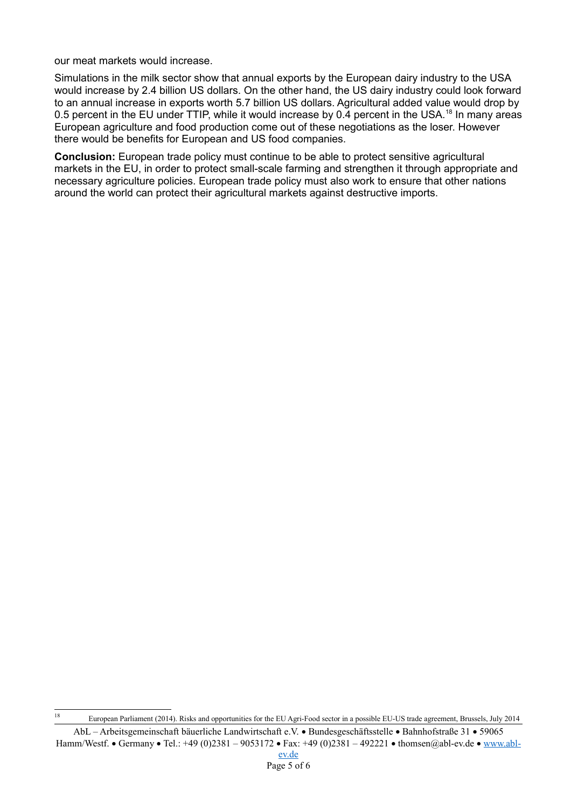our meat markets would increase.

Simulations in the milk sector show that annual exports by the European dairy industry to the USA would increase by 2.4 billion US dollars. On the other hand, the US dairy industry could look forward to an annual increase in exports worth 5.7 billion US dollars. Agricultural added value would drop by 0.5 percent in the EU under TTIP, while it would increase by 0.4 percent in the USA.<sup>[18](#page-4-0)</sup> In many areas European agriculture and food production come out of these negotiations as the loser. However there would be benefits for European and US food companies.

**Conclusion:** European trade policy must continue to be able to protect sensitive agricultural markets in the EU, in order to protect small-scale farming and strengthen it through appropriate and necessary agriculture policies. European trade policy must also work to ensure that other nations around the world can protect their agricultural markets against destructive imports.

<span id="page-4-0"></span><sup>18</sup> European Parliament (2014). Risks and opportunities for the EU Agri-Food sector in a possible EU-US trade agreement, Brussels, July 2014